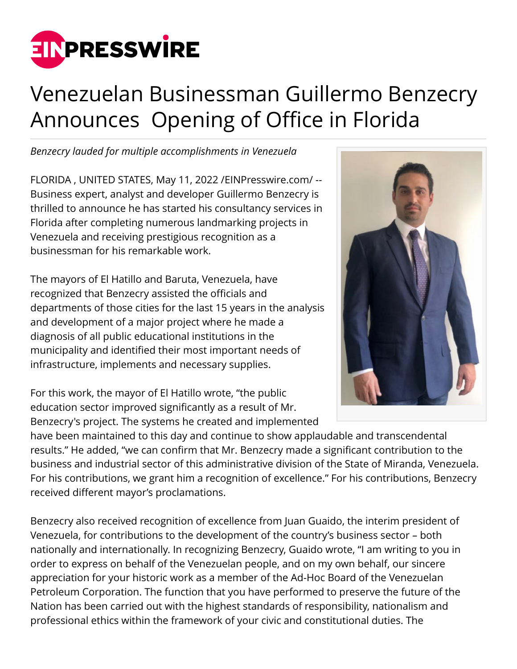

## Venezuelan Businessman Guillermo Benzecry Announces Opening of Office in Florida

*Benzecry lauded for multiple accomplishments in Venezuela*

FLORIDA , UNITED STATES, May 11, 2022 [/EINPresswire.com](http://www.einpresswire.com)/ -- Business expert, analyst and developer Guillermo Benzecry is thrilled to announce he has started his consultancy services in Florida after completing numerous landmarking projects in Venezuela and receiving prestigious recognition as a businessman for his remarkable work.

The mayors of El Hatillo and Baruta, Venezuela, have recognized that Benzecry assisted the officials and departments of those cities for the last 15 years in the analysis and development of a major project where he made a diagnosis of all public educational institutions in the municipality and identified their most important needs of infrastructure, implements and necessary supplies.

For this work, the mayor of El Hatillo wrote, "the public education sector improved significantly as a result of Mr. Benzecry's project. The systems he created and implemented



have been maintained to this day and continue to show applaudable and transcendental results." He added, "we can confirm that Mr. Benzecry made a significant contribution to the business and industrial sector of this administrative division of the State of Miranda, Venezuela. For his contributions, we grant him a recognition of excellence." For his contributions, Benzecry received different mayor's proclamations.

Benzecry also received recognition of excellence from Juan Guaido, the interim president of Venezuela, for contributions to the development of the country's business sector – both nationally and internationally. In recognizing Benzecry, Guaido wrote, "I am writing to you in order to express on behalf of the Venezuelan people, and on my own behalf, our sincere appreciation for your historic work as a member of the Ad-Hoc Board of the Venezuelan Petroleum Corporation. The function that you have performed to preserve the future of the Nation has been carried out with the highest standards of responsibility, nationalism and professional ethics within the framework of your civic and constitutional duties. The